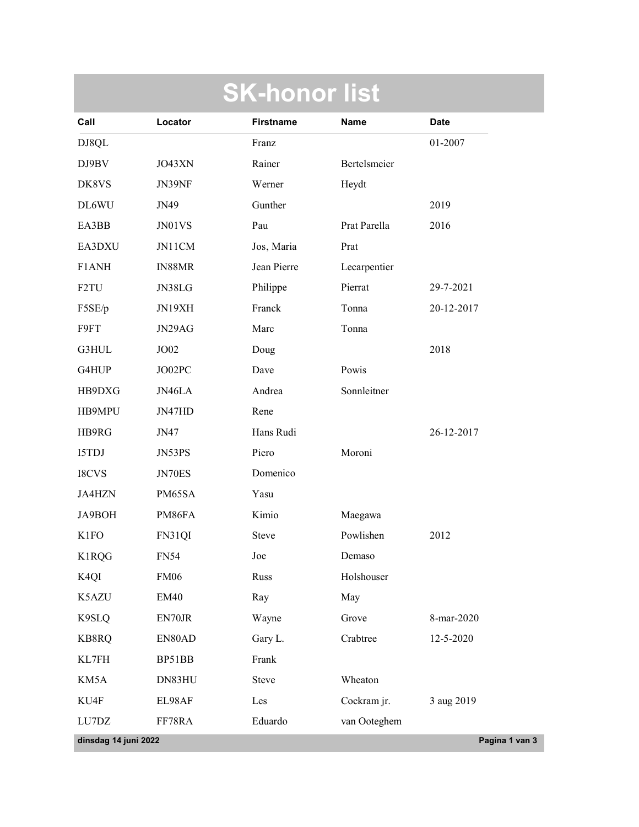|                                                                           |                 | <b>SK-honor list</b>      |              |                |  |  |
|---------------------------------------------------------------------------|-----------------|---------------------------|--------------|----------------|--|--|
| Call                                                                      | Locator         | <b>Firstname</b>          | Name         | <b>Date</b>    |  |  |
| DJ8QL                                                                     |                 | Franz                     |              | 01-2007        |  |  |
| $DJ9BV$                                                                   | JO43XN          | Rainer                    | Bertelsmeier |                |  |  |
| DK8VS                                                                     | JN39NF          | Werner                    | Heydt        |                |  |  |
| DL6WU                                                                     | JN49            | Gunther                   |              | 2019           |  |  |
| EA3BB                                                                     | $J\!N01\!V\!S$  | Pau                       | Prat Parella | 2016           |  |  |
| EA3DXU                                                                    | JN11CM          | Jos, Maria                | Prat         |                |  |  |
| F1ANH                                                                     | IN88MR          | Jean Pierre               | Lecarpentier |                |  |  |
| F <sub>2</sub> TU                                                         | JN38LG          | Philippe                  | Pierrat      | 29-7-2021      |  |  |
| F5SE/p                                                                    | JN19XH          | Franck                    | Tonna        | 20-12-2017     |  |  |
| F9FT                                                                      | $JN29AG$        | Marc                      | Tonna        |                |  |  |
| $\operatorname{G3HUL}$                                                    | $\rm JO02$      | Doug                      |              | 2018           |  |  |
| G4HUP                                                                     | JO02PC          | Dave                      | Powis        |                |  |  |
| HB9DXG                                                                    | $J N46LA$       | Andrea                    | Sonnleitner  |                |  |  |
| HB9MPU                                                                    | $JN47HD$        | Rene                      |              |                |  |  |
| HB9RG                                                                     | JN47            | Hans Rudi                 |              | 26-12-2017     |  |  |
| $\sqrt{\text{I5TDJ}}$                                                     | JN53PS          | Piero                     | Moroni       |                |  |  |
| $\operatorname{I8CVS}$                                                    | $JN70ES$        | Domenico                  |              |                |  |  |
| JA4HZN                                                                    | PM65SA          | Yasu                      |              |                |  |  |
| JA9BOH                                                                    | PM86FA          | Kimio                     | Maegawa      |                |  |  |
| <b>K1FO</b>                                                               | FN31QI          | Steve                     | Powlishen    | 2012           |  |  |
| K1RQG                                                                     | <b>FN54</b>     | Joe                       | Demaso       |                |  |  |
| K <sub>4</sub> QI                                                         | ${\rm FM}06$    | Russ                      | Holshouser   |                |  |  |
| K5AZU                                                                     | $\mathrm{EM40}$ | Ray                       | May          |                |  |  |
| K9SLQ                                                                     | ${\rm EN70JR}$  | Wayne                     | Grove        | 8-mar-2020     |  |  |
| KB8RQ                                                                     | EN80AD          | Gary L.                   | Crabtree     | 12-5-2020      |  |  |
| $\text{KL}7\text{FH}$                                                     | BP51BB          | Frank                     |              |                |  |  |
| KM5A                                                                      | DN83HU          | Steve                     | Wheaton      |                |  |  |
| KU4F                                                                      | EL98AF          | $\mathop{\hbox{\rm Les}}$ | Cockram jr.  | 3 aug 2019     |  |  |
| $\ensuremath{\mathrm{LU}}7\ensuremath{\mathrm{D}}\ensuremath{\mathrm{Z}}$ | FF78RA          | Eduardo                   | van Ooteghem |                |  |  |
| dinsdag 14 juni 2022                                                      |                 |                           |              | Pagina 1 van 3 |  |  |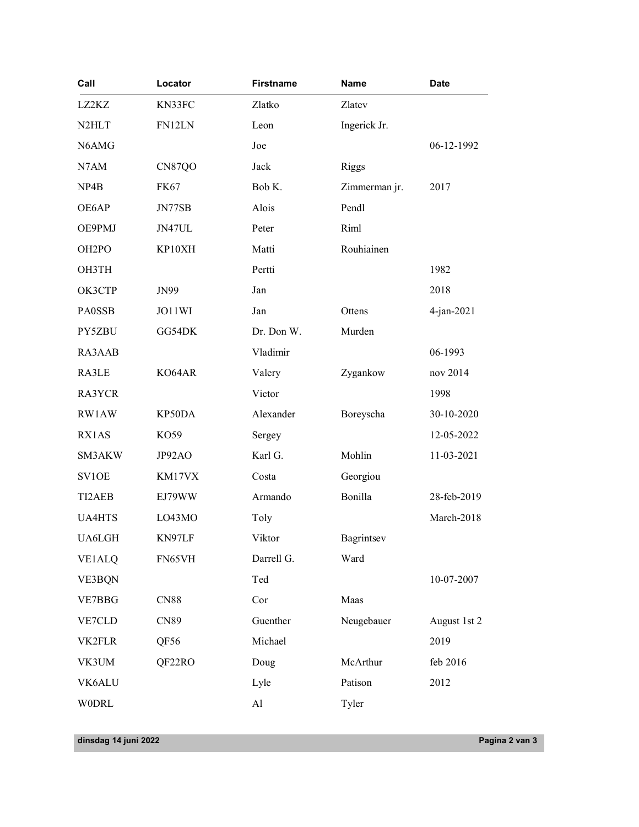| Call                           | Locator                  | <b>Firstname</b>           | <b>Name</b>        | <b>Date</b>    |  |  |  |  |
|--------------------------------|--------------------------|----------------------------|--------------------|----------------|--|--|--|--|
| LZ2KZ                          | KN33FC                   | Zlatko                     | Zlatev             |                |  |  |  |  |
| N <sub>2</sub> HLT             | FN12LN                   | Leon                       | Ingerick Jr.       |                |  |  |  |  |
| N6AMG                          |                          | Joe                        |                    | 06-12-1992     |  |  |  |  |
| $\it N7AM$                     | CN87QO                   | ${\rm Jack}$               | Riggs              |                |  |  |  |  |
| NP4B                           | <b>FK67</b>              | Bob K.                     | Zimmerman jr.      | 2017           |  |  |  |  |
| OE6AP                          | $J\!N77SB$               | Alois                      | Pendl              |                |  |  |  |  |
| OE9PMJ                         | JN47UL                   | Peter                      | Riml<br>Rouhiainen |                |  |  |  |  |
| OH <sub>2</sub> PO             | KP10XH                   | Matti                      |                    |                |  |  |  |  |
| OH3TH<br>ОКЗСТР                | JN99                     | Pertti<br>Jan              |                    | 1982<br>2018   |  |  |  |  |
|                                |                          |                            |                    |                |  |  |  |  |
| PA0SSB                         | $\rm JO11WI$             | ${\rm Jan}$<br>Dr. Don W.  | Ottens             | 4-jan-2021     |  |  |  |  |
| PY5ZBU                         | GG54DK                   | Vladimir                   | Murden             | 06-1993        |  |  |  |  |
| RA3AAB<br>$\texttt{RA3LE}$     | ${\rm KO}64{\rm AR}$     | Valery                     | Zygankow           | nov 2014       |  |  |  |  |
| RA3YCR                         |                          | Victor                     |                    | 1998           |  |  |  |  |
| RW1AW                          | KP50DA                   | Alexander                  | Boreyscha          | $30-10-2020$   |  |  |  |  |
| RX1AS                          | KO59                     | Sergey                     |                    | 12-05-2022     |  |  |  |  |
| $\mathbf{SM3AKW}$              | JP92AO                   | Karl G.                    | Mohlin             | 11-03-2021     |  |  |  |  |
| $\text{SVIOE}$                 | KM17VX                   | $\operatorname{Costa}$     | Georgiou           |                |  |  |  |  |
| TI2AEB                         | EJ79WW                   | Armando                    | Bonilla            | 28-feb-2019    |  |  |  |  |
| <b>UA4HTS</b>                  | LO43MO                   | Toly                       |                    | March-2018     |  |  |  |  |
| $\ensuremath{\mathsf{UA6LGH}}$ | KN97LF                   | Viktor                     | Bagrintsev         |                |  |  |  |  |
| <b>VE1ALQ</b>                  | FN65VH                   | Darrell G.                 | Ward               |                |  |  |  |  |
| $\ensuremath{\mathsf{VE3BQN}}$ |                          | Ted                        |                    | 10-07-2007     |  |  |  |  |
| ${\tt VE7BBG}$                 | $\mathbf{C}\mathbf{N}88$ | Cor                        | Maas               |                |  |  |  |  |
| ${\tt VE7CLD}$                 | $\text{CN}89$            | Guenther                   | Neugebauer         | August 1st 2   |  |  |  |  |
| VK2FLR                         | QF56                     | Michael                    |                    | 2019           |  |  |  |  |
| VK3UM                          | QF22RO                   | Doug                       | McArthur           | feb 2016       |  |  |  |  |
| VK6ALU                         |                          | Lyle                       | Patison            | 2012           |  |  |  |  |
| $\ensuremath{\mathsf{WODRL}}$  |                          | $\mathop{\rm Al}\nolimits$ | Tyler              |                |  |  |  |  |
|                                |                          |                            |                    |                |  |  |  |  |
| dinsdag 14 juni 2022           |                          |                            |                    | Pagina 2 van 3 |  |  |  |  |